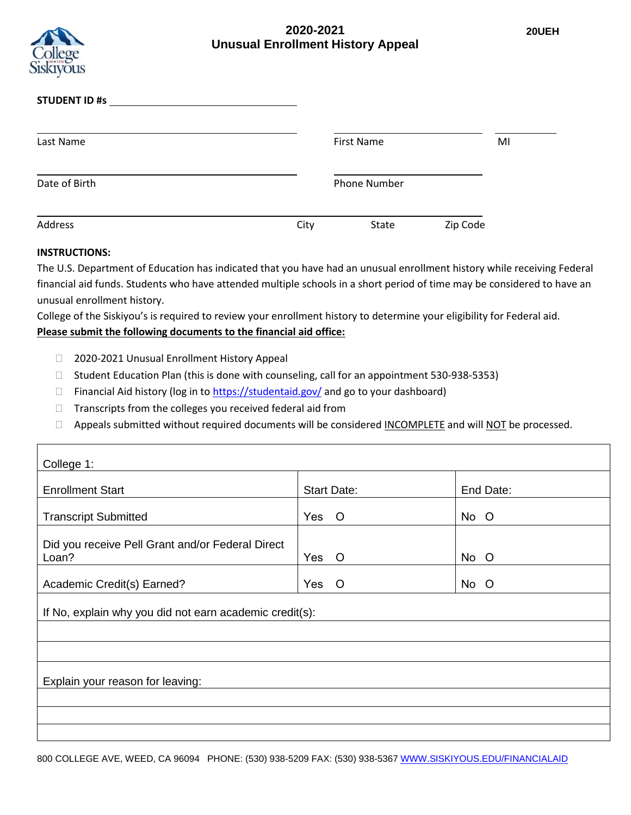## **2020-2021 Unusual Enrollment History Appeal**



| <b>STUDENT ID #s</b> |      |                     |          |    |
|----------------------|------|---------------------|----------|----|
| Last Name            |      | <b>First Name</b>   |          | MI |
| Date of Birth        |      | <b>Phone Number</b> |          |    |
| <b>Address</b>       | City | State               | Zip Code |    |

## **INSTRUCTIONS:**

Г

The U.S. Department of Education has indicated that you have had an unusual enrollment history while receiving Federal financial aid funds. Students who have attended multiple schools in a short period of time may be considered to have an unusual enrollment history.

College of the Siskiyou's is required to review your enrollment history to determine your eligibility for Federal aid.

## **Please submit the following documents to the financial aid office:**

- □ 2020-2021 Unusual Enrollment History Appeal
- □ Student Education Plan (this is done with counseling, call for an appointment 530-938-5353)
- $\Box$  Financial Aid history (log in t[o https://studentaid.gov/](https://studentaid.gov/) and go to your dashboard)
- $\Box$  Transcripts from the colleges you received federal aid from
- □ Appeals submitted without required documents will be considered INCOMPLETE and will NOT be processed.

| College 1:                                                |                    |           |  |
|-----------------------------------------------------------|--------------------|-----------|--|
| <b>Enrollment Start</b>                                   | <b>Start Date:</b> | End Date: |  |
| <b>Transcript Submitted</b>                               | Yes O              | No O      |  |
| Did you receive Pell Grant and/or Federal Direct<br>Loan? | Yes<br>$\circ$     | No O      |  |
| Academic Credit(s) Earned?                                | Yes<br>$\circ$     | No O      |  |
| If No, explain why you did not earn academic credit(s):   |                    |           |  |
|                                                           |                    |           |  |
| Explain your reason for leaving:                          |                    |           |  |
|                                                           |                    |           |  |
|                                                           |                    |           |  |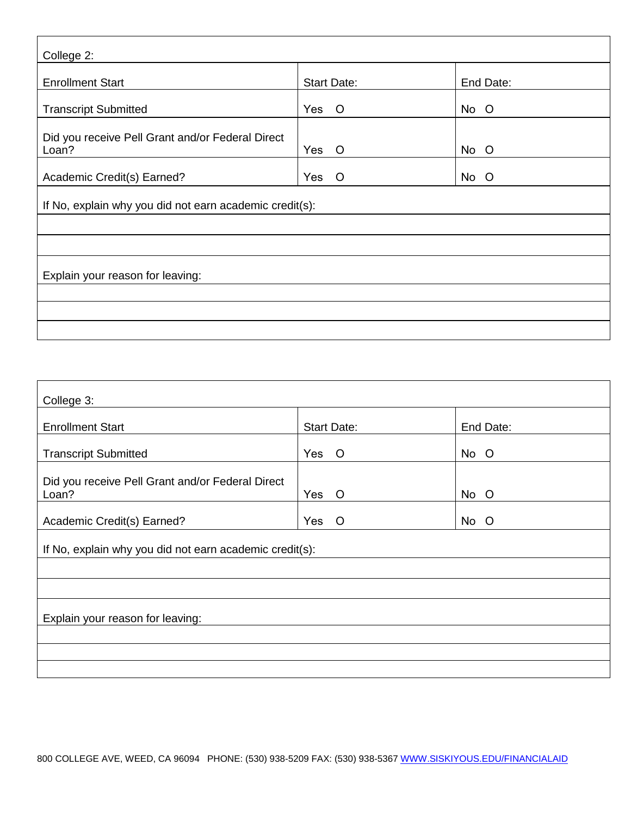| College 2:                                                |                    |           |  |
|-----------------------------------------------------------|--------------------|-----------|--|
| <b>Enrollment Start</b>                                   | <b>Start Date:</b> | End Date: |  |
| <b>Transcript Submitted</b>                               | Yes<br>$\circ$     | No O      |  |
| Did you receive Pell Grant and/or Federal Direct<br>Loan? | Yes<br>$\circ$     | No O      |  |
| Academic Credit(s) Earned?                                | Yes<br>$\circ$     | No O      |  |
| If No, explain why you did not earn academic credit(s):   |                    |           |  |
|                                                           |                    |           |  |
|                                                           |                    |           |  |
| Explain your reason for leaving:                          |                    |           |  |
|                                                           |                    |           |  |
|                                                           |                    |           |  |
|                                                           |                    |           |  |

| College 3:                                                |                    |           |  |
|-----------------------------------------------------------|--------------------|-----------|--|
| <b>Enrollment Start</b>                                   | <b>Start Date:</b> | End Date: |  |
| <b>Transcript Submitted</b>                               | Yes O              | No O      |  |
| Did you receive Pell Grant and/or Federal Direct<br>Loan? | Yes<br>$\circ$     | No O      |  |
| Academic Credit(s) Earned?                                | Yes<br>$\circ$     | No O      |  |
| If No, explain why you did not earn academic credit(s):   |                    |           |  |
|                                                           |                    |           |  |
|                                                           |                    |           |  |
| Explain your reason for leaving:                          |                    |           |  |
|                                                           |                    |           |  |
|                                                           |                    |           |  |